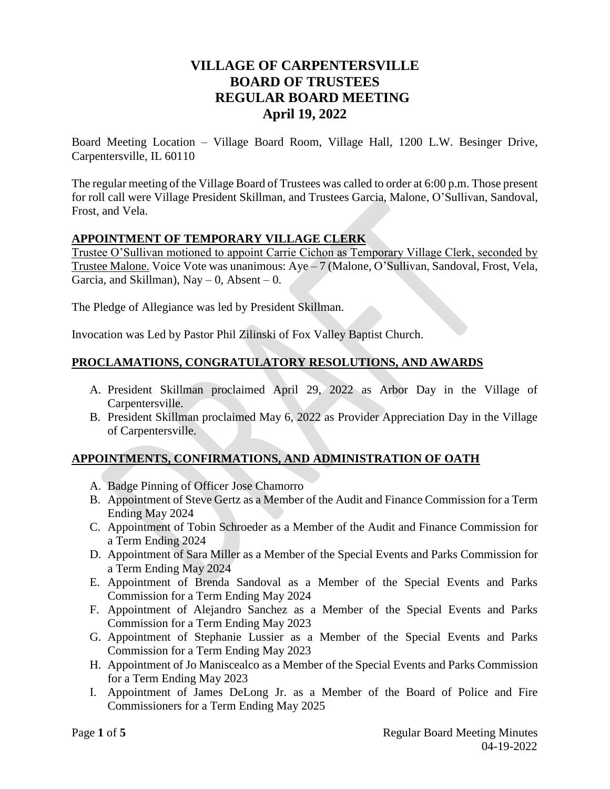# **VILLAGE OF CARPENTERSVILLE BOARD OF TRUSTEES REGULAR BOARD MEETING April 19, 2022**

Board Meeting Location – Village Board Room, Village Hall, 1200 L.W. Besinger Drive, Carpentersville, IL 60110

The regular meeting of the Village Board of Trustees was called to order at 6:00 p.m. Those present for roll call were Village President Skillman, and Trustees Garcia, Malone, O'Sullivan, Sandoval, Frost, and Vela.

# **APPOINTMENT OF TEMPORARY VILLAGE CLERK**

Trustee O'Sullivan motioned to appoint Carrie Cichon as Temporary Village Clerk, seconded by Trustee Malone. Voice Vote was unanimous: Aye – 7 (Malone, O'Sullivan, Sandoval, Frost, Vela, Garcia, and Skillman),  $\text{Nay} - 0$ , Absent – 0.

The Pledge of Allegiance was led by President Skillman.

Invocation was Led by Pastor Phil Zilinski of Fox Valley Baptist Church.

# **PROCLAMATIONS, CONGRATULATORY RESOLUTIONS, AND AWARDS**

- A. President Skillman proclaimed April 29, 2022 as Arbor Day in the Village of Carpentersville.
- B. President Skillman proclaimed May 6, 2022 as Provider Appreciation Day in the Village of Carpentersville.

# **APPOINTMENTS, CONFIRMATIONS, AND ADMINISTRATION OF OATH**

- A. Badge Pinning of Officer Jose Chamorro
- B. Appointment of Steve Gertz as a Member of the Audit and Finance Commission for a Term Ending May 2024
- C. Appointment of Tobin Schroeder as a Member of the Audit and Finance Commission for a Term Ending 2024
- D. Appointment of Sara Miller as a Member of the Special Events and Parks Commission for a Term Ending May 2024
- E. Appointment of Brenda Sandoval as a Member of the Special Events and Parks Commission for a Term Ending May 2024
- F. Appointment of Alejandro Sanchez as a Member of the Special Events and Parks Commission for a Term Ending May 2023
- G. Appointment of Stephanie Lussier as a Member of the Special Events and Parks Commission for a Term Ending May 2023
- H. Appointment of Jo Maniscealco as a Member of the Special Events and Parks Commission for a Term Ending May 2023
- I. Appointment of James DeLong Jr. as a Member of the Board of Police and Fire Commissioners for a Term Ending May 2025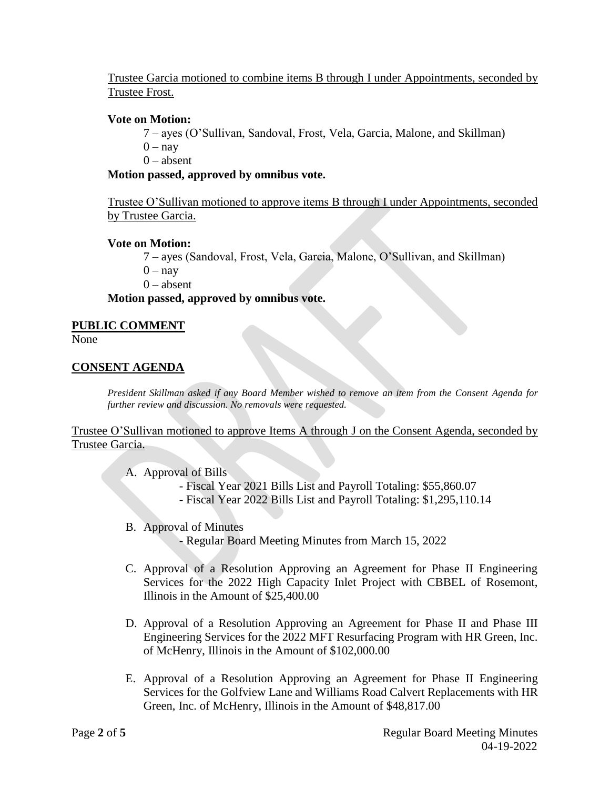Trustee Garcia motioned to combine items B through I under Appointments, seconded by Trustee Frost.

### **Vote on Motion:**

- 7 ayes (O'Sullivan, Sandoval, Frost, Vela, Garcia, Malone, and Skillman)
- $0 nav$
- $0 *absent*$

# **Motion passed, approved by omnibus vote.**

Trustee O'Sullivan motioned to approve items B through I under Appointments, seconded by Trustee Garcia.

# **Vote on Motion:**

7 – ayes (Sandoval, Frost, Vela, Garcia, Malone, O'Sullivan, and Skillman)

 $0 - \text{nav}$ 

 $0 - *absent*$ 

# **Motion passed, approved by omnibus vote.**

### **PUBLIC COMMENT**

None

# **CONSENT AGENDA**

*President Skillman asked if any Board Member wished to remove an item from the Consent Agenda for further review and discussion. No removals were requested.* 

Trustee O'Sullivan motioned to approve Items A through J on the Consent Agenda, seconded by Trustee Garcia.

- A. Approval of Bills
	- Fiscal Year 2021 Bills List and Payroll Totaling: \$55,860.07
	- Fiscal Year 2022 Bills List and Payroll Totaling: \$1,295,110.14
- B. Approval of Minutes

- Regular Board Meeting Minutes from March 15, 2022

- C. Approval of a Resolution Approving an Agreement for Phase II Engineering Services for the 2022 High Capacity Inlet Project with CBBEL of Rosemont, Illinois in the Amount of \$25,400.00
- D. Approval of a Resolution Approving an Agreement for Phase II and Phase III Engineering Services for the 2022 MFT Resurfacing Program with HR Green, Inc. of McHenry, Illinois in the Amount of \$102,000.00
- E. Approval of a Resolution Approving an Agreement for Phase II Engineering Services for the Golfview Lane and Williams Road Calvert Replacements with HR Green, Inc. of McHenry, Illinois in the Amount of \$48,817.00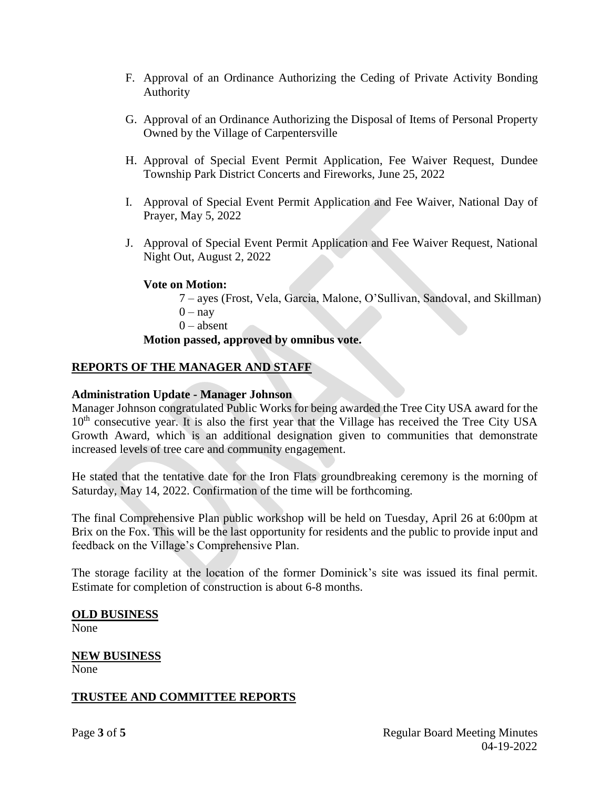- F. Approval of an Ordinance Authorizing the Ceding of Private Activity Bonding Authority
- G. Approval of an Ordinance Authorizing the Disposal of Items of Personal Property Owned by the Village of Carpentersville
- H. Approval of Special Event Permit Application, Fee Waiver Request, Dundee Township Park District Concerts and Fireworks, June 25, 2022
- I. Approval of Special Event Permit Application and Fee Waiver, National Day of Prayer, May 5, 2022
- J. Approval of Special Event Permit Application and Fee Waiver Request, National Night Out, August 2, 2022

# **Vote on Motion:**

7 – ayes (Frost, Vela, Garcia, Malone, O'Sullivan, Sandoval, and Skillman)  $0 - \text{nav}$  $0 - *absent*$ 

# **Motion passed, approved by omnibus vote.**

# **REPORTS OF THE MANAGER AND STAFF**

# **Administration Update - Manager Johnson**

Manager Johnson congratulated Public Works for being awarded the Tree City USA award for the  $10<sup>th</sup>$  consecutive year. It is also the first year that the Village has received the Tree City USA Growth Award, which is an additional designation given to communities that demonstrate increased levels of tree care and community engagement.

He stated that the tentative date for the Iron Flats groundbreaking ceremony is the morning of Saturday, May 14, 2022. Confirmation of the time will be forthcoming.

The final Comprehensive Plan public workshop will be held on Tuesday, April 26 at 6:00pm at Brix on the Fox. This will be the last opportunity for residents and the public to provide input and feedback on the Village's Comprehensive Plan.

The storage facility at the location of the former Dominick's site was issued its final permit. Estimate for completion of construction is about 6-8 months.

### **OLD BUSINESS**

None

# **NEW BUSINESS**

None

# **TRUSTEE AND COMMITTEE REPORTS**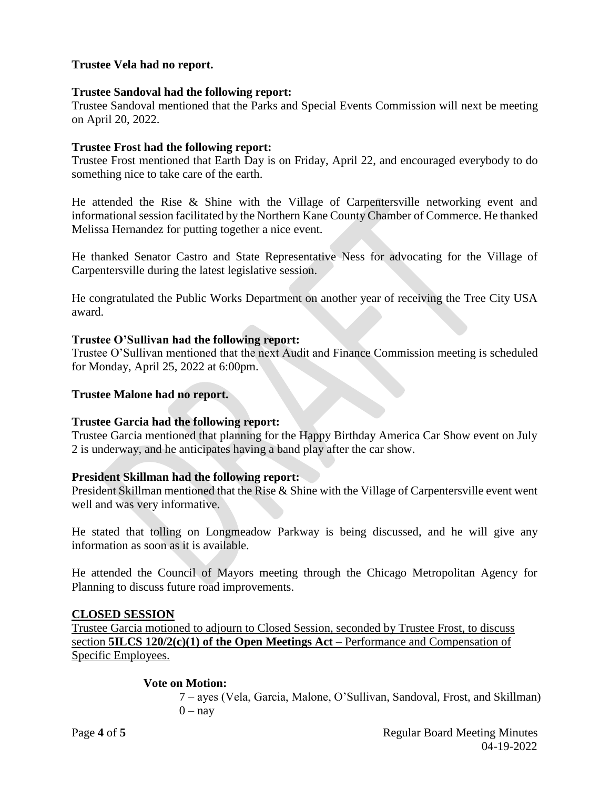# **Trustee Vela had no report.**

### **Trustee Sandoval had the following report:**

Trustee Sandoval mentioned that the Parks and Special Events Commission will next be meeting on April 20, 2022.

### **Trustee Frost had the following report:**

Trustee Frost mentioned that Earth Day is on Friday, April 22, and encouraged everybody to do something nice to take care of the earth.

He attended the Rise & Shine with the Village of Carpentersville networking event and informational session facilitated by the Northern Kane County Chamber of Commerce. He thanked Melissa Hernandez for putting together a nice event.

He thanked Senator Castro and State Representative Ness for advocating for the Village of Carpentersville during the latest legislative session.

He congratulated the Public Works Department on another year of receiving the Tree City USA award.

#### **Trustee O'Sullivan had the following report:**

Trustee O'Sullivan mentioned that the next Audit and Finance Commission meeting is scheduled for Monday, April 25, 2022 at 6:00pm.

### **Trustee Malone had no report.**

#### **Trustee Garcia had the following report:**

Trustee Garcia mentioned that planning for the Happy Birthday America Car Show event on July 2 is underway, and he anticipates having a band play after the car show.

### **President Skillman had the following report:**

President Skillman mentioned that the Rise & Shine with the Village of Carpentersville event went well and was very informative.

He stated that tolling on Longmeadow Parkway is being discussed, and he will give any information as soon as it is available.

He attended the Council of Mayors meeting through the Chicago Metropolitan Agency for Planning to discuss future road improvements.

### **CLOSED SESSION**

Trustee Garcia motioned to adjourn to Closed Session, seconded by Trustee Frost, to discuss section **5ILCS 120/2(c)(1) of the Open Meetings Act** – Performance and Compensation of Specific Employees.

### **Vote on Motion:**

7 – ayes (Vela, Garcia, Malone, O'Sullivan, Sandoval, Frost, and Skillman)  $0 - \text{nav}$